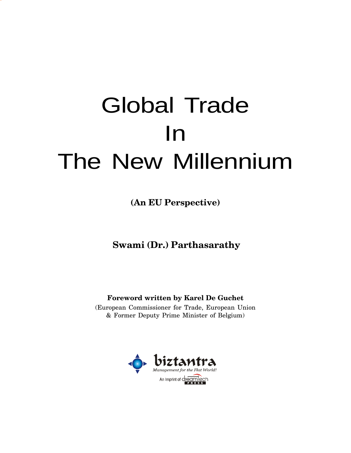# Global Trade In The New Millennium

**(An EU Perspective)**

**Swami (Dr.) Parthasarathy**

**Foreword written by Karel De Guchet**

(European Commissioner for Trade, European Union & Former Deputy Prime Minister of Belgium)

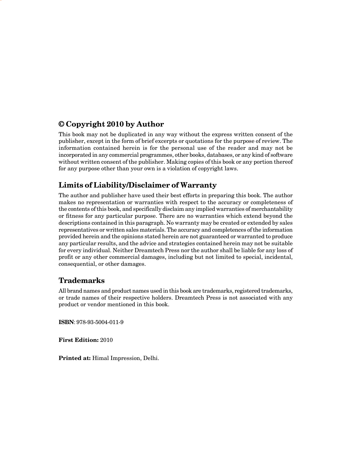#### **© Copyright 2010 by Author**

This book may not be duplicated in any way without the express written consent of the publisher, except in the form of brief excerpts or quotations for the purpose of review. The information contained herein is for the personal use of the reader and may not be incorporated in any commercial programmes, other books, databases, or any kind of software without written consent of the publisher. Making copies of this book or any portion thereof for any purpose other than your own is a violation of copyright laws.

#### **Limits of Liability/Disclaimer of Warranty**

The author and publisher have used their best efforts in preparing this book. The author makes no representation or warranties with respect to the accuracy or completeness of the contents of this book, and specifically disclaim any implied warranties of merchantability or fitness for any particular purpose. There are no warranties which extend beyond the descriptions contained in this paragraph. No warranty may be created or extended by sales representatives or written sales materials. The accuracy and completences of the information provided herein and the opinions stated herein are not guaranteed or warranted to produce any particular results, and the advice and strategies contained herein may not be suitable for every individual. Neither Dreamtech Press nor the author shall be liable for any loss of profit or any other commercial damages, including but not limited to special, incidental, consequential, or other damages.

#### **Trademarks**

All brand names and product names used in this book are trademarks, registered trademarks, or trade names of their respective holders. Dreamtech Press is not associated with any product or vendor mentioned in this book.

**ISBN**: 978-93-5004-011-9

**First Edition:** 2010

**Printed at:** Himal Impression, Delhi.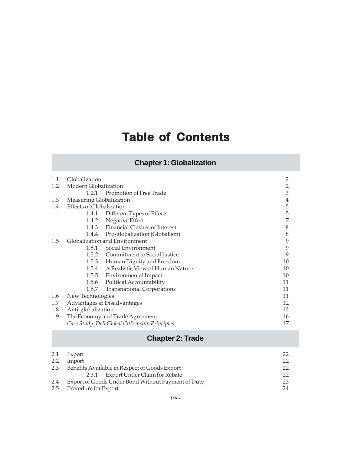# **Table of Contents**

## **Chapter 1: Globalization**

| 1.1 | Globalization                   |                                                | $\overline{2}$ |
|-----|---------------------------------|------------------------------------------------|----------------|
| 1.2 | Modern Globalization            |                                                | $\overline{2}$ |
|     | 1.2.1                           | Promotion of Free Trade                        | 3              |
| 1.3 | Measuring Globalization         |                                                | 4              |
| 1.4 | <b>Effects of Globalization</b> |                                                | 5              |
|     |                                 | 1.4.1 Different Types of Effects               | 5              |
|     | 1.4.2                           | Negative Effect                                | 7              |
|     |                                 | 1.4.3 Financial Clashes of Interest            | 8              |
|     | 1.4.4                           | Pro-globalization (Globalism)                  | 8              |
| 1.5 |                                 | Globalization and Environment                  | 9              |
|     | 1.5.1                           | Social Environment                             | 9              |
|     |                                 | 1.5.2 Commitment to Social Justice             | 9              |
|     |                                 | 1.5.3 Human Dignity and Freedom                | 10             |
|     |                                 | 1.5.4 A Realistic View of Human Nature         | 10             |
|     |                                 | 1.5.5 Environmental Impact                     | 10             |
|     |                                 | 1.5.6 Political Accountability                 | 11             |
|     | 1.5.7                           | <b>Transnational Corporations</b>              | 11             |
| 1.6 | New Technologies                |                                                | 11             |
| 1.7 |                                 | Advantages & Disadvantages                     | 12             |
| 1.8 | Anti-globalization              |                                                | 12             |
| 1.9 |                                 | The Economy and Trade Agreement                | 16             |
|     |                                 | Case Study: Dell Global Citizenship Principles | 17             |

#### **Chapter 2: Trade**

| 2.1 | Export                                             | $22^{\circ}$ |
|-----|----------------------------------------------------|--------------|
| 2.2 | Import                                             | $22^{\circ}$ |
| 2.3 | Benefits Available in Respect of Goods Export      | 22           |
|     | 2.3.1 Export Under Claim for Rebate                | 22           |
| 2.4 | Export of Goods Under Bond Without Payment of Duty | 23           |
|     | 2.5 Procedure for Export                           | 24           |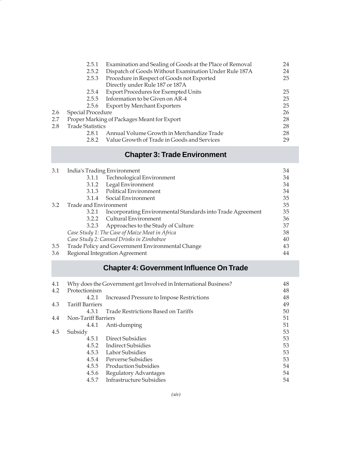|     | 2.5.1                   | Examination and Sealing of Goods at the Place of Removal | 24 |
|-----|-------------------------|----------------------------------------------------------|----|
|     | 2.5.2                   | Dispatch of Goods Without Examination Under Rule 187A    | 24 |
|     | 2.5.3                   | Procedure in Respect of Goods not Exported               | 25 |
|     |                         | Directly under Rule 187 or 187A                          |    |
|     | 2.5.4                   | <b>Export Procedures for Exempted Units</b>              | 25 |
|     | 2.5.5                   | Information to be Given on AR-4                          | 25 |
|     | 2.5.6                   | <b>Export by Merchant Exporters</b>                      | 25 |
| 2.6 | Special Procedure       |                                                          | 26 |
| 2.7 |                         | Proper Marking of Packages Meant for Export              | 28 |
| 2.8 | <b>Trade Statistics</b> |                                                          | 28 |
|     | 2.8.1                   | Annual Volume Growth in Merchandize Trade                | 28 |
|     | 2.8.2                   | Value Growth of Trade in Goods and Services              | 29 |

## **Chapter 3: Trade Environment**

| 3.1 |                       | India's Trading Environment                                | 34 |
|-----|-----------------------|------------------------------------------------------------|----|
|     | 3.1.1                 | Technological Environment                                  | 34 |
|     | 3.1.2                 | Legal Environment                                          | 34 |
|     |                       | 3.1.3 Political Environment                                | 34 |
|     |                       | 3.1.4 Social Environment                                   | 35 |
| 3.2 | Trade and Environment |                                                            | 35 |
|     | 3.2.1                 | Incorporating Environmental Standards into Trade Agreement | 35 |
|     |                       | 3.2.2 Cultural Environment                                 | 36 |
|     |                       | 3.2.3 Approaches to the Study of Culture                   | 37 |
|     |                       | Case Study 1: The Case of Maize Meat in Africa             | 38 |
|     |                       | Case Study 2: Canned Drinks in Zimbabwe                    | 40 |
| 3.5 |                       | Trade Policy and Government Environmental Change           | 43 |
| 3.6 |                       | Regional Integration Agreement                             | 44 |

# **Chapter 4: Government Influence On Trade**

| 4.1 |                        | Why does the Government get Involved in International Business? | 48 |
|-----|------------------------|-----------------------------------------------------------------|----|
| 4.2 | Protectionism          |                                                                 | 48 |
|     | 4.2.1                  | Increased Pressure to Impose Restrictions                       | 48 |
| 4.3 | <b>Tariff Barriers</b> |                                                                 | 49 |
|     | 4.3.1                  | Trade Restrictions Based on Tariffs                             | 50 |
| 4.4 | Non-Tariff Barriers    |                                                                 | 51 |
|     | 4.4.1                  | Anti-dumping                                                    | 51 |
| 4.5 | Subsidy                |                                                                 | 53 |
|     | 4.5.1                  | Direct Subsidies                                                | 53 |
|     |                        | 4.5.2 Indirect Subsidies                                        | 53 |
|     | 4.5.3                  | Labor Subsidies                                                 | 53 |
|     | 4.5.4                  | Perverse Subsidies                                              | 53 |
|     | 4.5.5                  | Production Subsidies                                            | 54 |
|     | 4.5.6                  | Regulatory Advantages                                           | 54 |
|     | 4.5.7                  | Infrastructure Subsidies                                        | 54 |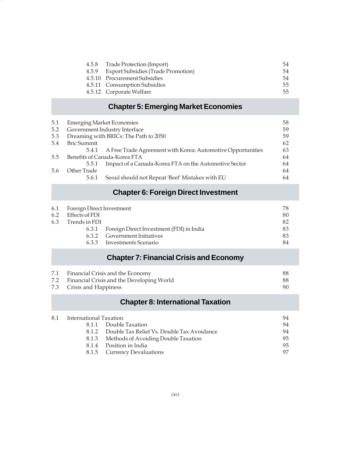|  | 4.5.8 Trade Protection (Import)          | 54 |
|--|------------------------------------------|----|
|  | 4.5.9 Export Subsidies (Trade Promotion) | 54 |
|  | 4.5.10 Procurement Subsidies             | 54 |
|  | 4.5.11 Consumption Subsidies             | 55 |
|  | 4.5.12 Corporate Welfare                 | 55 |

#### **Chapter 5: Emerging Market Economies**

| 5.1           |             | <b>Emerging Market Economies</b>                                  | 58 |
|---------------|-------------|-------------------------------------------------------------------|----|
| 5.2           |             | Government Industry Interface                                     | 59 |
| 5.3           |             | Dreaming with BRICs: The Path to 2050                             | 59 |
| 5.4           | Bric Summit |                                                                   | 62 |
|               |             | 5.4.1 A Free Trade Agreement with Korea: Automotive Opportunities | 63 |
| $5.5^{\circ}$ |             | Benefits of Canada-Korea FTA                                      | 64 |
|               | 5.5.1       | Impact of a Canada-Korea FTA on the Automotive Sector             | 64 |
| 5.6           | Other Trade |                                                                   | 64 |
|               | 5.6.1       | Seoul should not Repeat 'Beef' Mistakes with EU                   | 64 |

#### **Chapter 6: Foreign Direct Investment**

| 6.1 Foreign Direct Investment |                                          | 78 |
|-------------------------------|------------------------------------------|----|
| 6.2 Effects of FDI            |                                          | 80 |
| 6.3 Trends in FDI             |                                          | 82 |
| 6.3.1                         | Foreign Direct Investment (FDI) in India | 83 |
|                               | 6.3.2 Government Initiatives             | 83 |
|                               | 6.3.3 Investments Scenario               | 84 |
|                               |                                          |    |

#### **Chapter 7: Financial Crisis and Economy**

| 7.1 Financial Crisis and the Economy          | 88. |
|-----------------------------------------------|-----|
| 7.2 Financial Crisis and the Developing World | 88. |
| 7.3 Crisis and Happiness                      |     |

#### **Chapter 8: International Taxation**

| 8.1 International Taxation |                                                  | 94 |
|----------------------------|--------------------------------------------------|----|
|                            | 8.1.1 Double Taxation                            | 94 |
|                            | 8.1.2 Double Tax Relief Vs. Double Tax Avoidance | 94 |
|                            | 8.1.3 Methods of Avoiding Double Taxation        | 95 |
|                            | 8.1.4 Position in India                          | 95 |
|                            | 8.1.5 Currency Devaluations                      | 97 |
|                            |                                                  |    |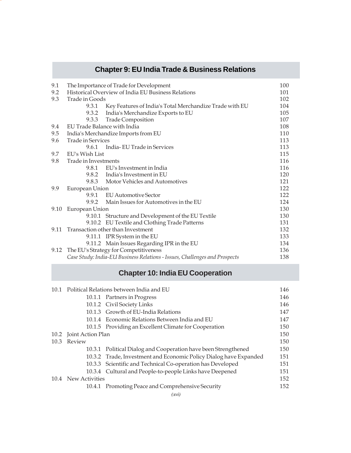## **Chapter 9: EU India Trade & Business Relations**

| 9.1  |                      | The Importance of Trade for Development                                    | 100 |
|------|----------------------|----------------------------------------------------------------------------|-----|
| 9.2  |                      | Historical Overview of India EU Business Relations                         | 101 |
| 9.3  | Trade in Goods       |                                                                            | 102 |
|      | 9.3.1                | Key Features of India's Total Merchandize Trade with EU                    | 104 |
|      | 9.3.2                | India's Merchandize Exports to EU                                          | 105 |
|      |                      | 9.3.3 Trade Composition                                                    | 107 |
| 9.4  |                      | EU Trade Balance with India                                                | 108 |
| 9.5  |                      | India's Merchandize Imports from EU                                        | 110 |
| 9.6  | Trade in Services    |                                                                            | 113 |
|      |                      | 9.6.1 India-EU Trade in Services                                           | 113 |
| 9.7  | EU's Wish List       |                                                                            | 115 |
| 9.8  | Trade in Investments |                                                                            | 116 |
|      |                      | 9.8.1 EU's Investment in India                                             | 116 |
|      |                      | 9.8.2 India's Investment in EU                                             | 120 |
|      |                      | 9.8.3 Motor Vehicles and Automotives                                       | 121 |
| 9.9  | European Union       |                                                                            | 122 |
|      | 9.9.1                | EU Automotive Sector                                                       | 122 |
|      | 9.9.2                | Main Issues for Automotives in the EU                                      | 124 |
| 9.10 | European Union       |                                                                            | 130 |
|      |                      | 9.10.1 Structure and Development of the EU Textile                         | 130 |
|      |                      | 9.10.2 EU Textile and Clothing Trade Patterns                              | 131 |
| 9.11 |                      | Transaction other than Investment                                          | 132 |
|      |                      | 9.11.1 IPR System in the EU                                                | 133 |
|      |                      | 9.11.2 Main Issues Regarding IPR in the EU                                 | 134 |
| 9.12 |                      | The EU's Strategy for Competitiveness                                      | 136 |
|      |                      | Case Study: India-EU Business Relations - Issues, Challenges and Prospects | 138 |

## **Chapter 10: India EU Cooperation**

|        | 146                                                                                                                                                                                                                                                                                                                                                                                                                                                                                                                                                                                                                                 |
|--------|-------------------------------------------------------------------------------------------------------------------------------------------------------------------------------------------------------------------------------------------------------------------------------------------------------------------------------------------------------------------------------------------------------------------------------------------------------------------------------------------------------------------------------------------------------------------------------------------------------------------------------------|
|        | 146                                                                                                                                                                                                                                                                                                                                                                                                                                                                                                                                                                                                                                 |
|        | 146                                                                                                                                                                                                                                                                                                                                                                                                                                                                                                                                                                                                                                 |
|        | 147                                                                                                                                                                                                                                                                                                                                                                                                                                                                                                                                                                                                                                 |
|        | 147                                                                                                                                                                                                                                                                                                                                                                                                                                                                                                                                                                                                                                 |
|        | 150                                                                                                                                                                                                                                                                                                                                                                                                                                                                                                                                                                                                                                 |
|        | 150                                                                                                                                                                                                                                                                                                                                                                                                                                                                                                                                                                                                                                 |
| Review | 150                                                                                                                                                                                                                                                                                                                                                                                                                                                                                                                                                                                                                                 |
|        | 150                                                                                                                                                                                                                                                                                                                                                                                                                                                                                                                                                                                                                                 |
|        | 151                                                                                                                                                                                                                                                                                                                                                                                                                                                                                                                                                                                                                                 |
|        | 151                                                                                                                                                                                                                                                                                                                                                                                                                                                                                                                                                                                                                                 |
|        | 151                                                                                                                                                                                                                                                                                                                                                                                                                                                                                                                                                                                                                                 |
|        | 152                                                                                                                                                                                                                                                                                                                                                                                                                                                                                                                                                                                                                                 |
|        | 152                                                                                                                                                                                                                                                                                                                                                                                                                                                                                                                                                                                                                                 |
|        | 10.1 Political Relations between India and EU<br>10.1.1 Partners in Progress<br>10.1.2 Civil Society Links<br>10.1.3 Growth of EU-India Relations<br>10.1.4 Economic Relations Between India and EU<br>10.1.5 Providing an Excellent Climate for Cooperation<br>10.2 Joint Action Plan<br>10.3.1 Political Dialog and Cooperation have been Strengthened<br>10.3.2 Trade, Investment and Economic Policy Dialog have Expanded<br>10.3.3 Scientific and Technical Co-operation has Developed<br>10.3.4 Cultural and People-to-people Links have Deepened<br>10.4 New Activities<br>10.4.1 Promoting Peace and Comprehensive Security |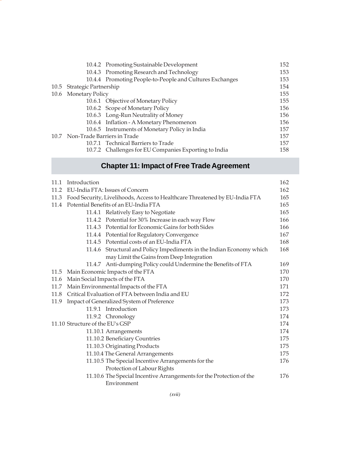|                                  | 10.4.2 Promoting Sustainable Development                 | 152 |
|----------------------------------|----------------------------------------------------------|-----|
|                                  | 10.4.3 Promoting Research and Technology                 | 153 |
|                                  | 10.4.4 Promoting People-to-People and Cultures Exchanges | 153 |
| 10.5 Strategic Partnership       |                                                          | 154 |
| 10.6 Monetary Policy             |                                                          | 155 |
|                                  | 10.6.1 Objective of Monetary Policy                      | 155 |
|                                  | 10.6.2 Scope of Monetary Policy                          | 156 |
|                                  | 10.6.3 Long-Run Neutrality of Money                      | 156 |
|                                  | 10.6.4 Inflation - A Monetary Phenomenon                 | 156 |
|                                  | 10.6.5 Instruments of Monetary Policy in India           | 157 |
| 10.7 Non-Trade Barriers in Trade |                                                          | 157 |
|                                  | 10.7.1 Technical Barriers to Trade                       | 157 |
|                                  | 10.7.2 Challenges for EU Companies Exporting to India    | 158 |

# **Chapter 11: Impact of Free Trade Agreement**

| 11.1                            | Introduction                    |                                                                             | 162 |
|---------------------------------|---------------------------------|-----------------------------------------------------------------------------|-----|
| 11.2                            | EU-India FTA: Issues of Concern |                                                                             | 162 |
| 11.3                            |                                 | Food Security, Livelihoods, Access to Healthcare Threatened by EU-India FTA | 165 |
| 11.4                            |                                 | Potential Benefits of an EU-India FTA                                       | 165 |
|                                 |                                 | 11.4.1 Relatively Easy to Negotiate                                         | 165 |
|                                 |                                 | 11.4.2 Potential for 30% Increase in each way Flow                          | 166 |
|                                 |                                 | 11.4.3 Potential for Economic Gains for both Sides                          | 166 |
|                                 |                                 | 11.4.4 Potential for Regulatory Convergence                                 | 167 |
|                                 |                                 | 11.4.5 Potential costs of an EU-India FTA                                   | 168 |
|                                 |                                 | 11.4.6 Structural and Policy Impediments in the Indian Economy which        | 168 |
|                                 |                                 | may Limit the Gains from Deep Integration                                   |     |
|                                 |                                 | 11.4.7 Anti-dumping Policy could Undermine the Benefits of FTA              | 169 |
|                                 |                                 | 11.5 Main Economic Impacts of the FTA                                       | 170 |
| 11.6                            |                                 | Main Social Impacts of the FTA                                              | 170 |
|                                 |                                 | 11.7 Main Environmental Impacts of the FTA                                  | 171 |
| 11.8                            |                                 | Critical Evaluation of FTA between India and EU                             | 172 |
| 11.9                            |                                 | Impact of Generalized System of Preference                                  | 173 |
|                                 |                                 | 11.9.1 Introduction                                                         | 173 |
|                                 |                                 | 11.9.2 Chronology                                                           | 174 |
| 11.10 Structure of the EU's GSP |                                 | 174                                                                         |     |
|                                 |                                 | 11.10.1 Arrangements                                                        | 174 |
|                                 |                                 | 11.10.2 Beneficiary Countries                                               | 175 |
|                                 |                                 | 11.10.3 Originating Products                                                | 175 |
|                                 |                                 | 11.10.4 The General Arrangements                                            | 175 |
|                                 |                                 | 11.10.5 The Special Incentive Arrangements for the                          | 176 |
|                                 |                                 | Protection of Labour Rights                                                 |     |
|                                 |                                 | 11.10.6 The Special Incentive Arrangements for the Protection of the        | 176 |
|                                 |                                 | Environment                                                                 |     |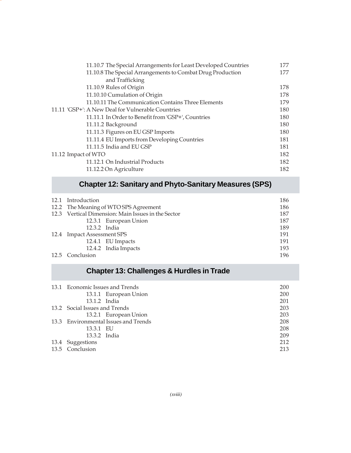| 11.10.7 The Special Arrangements for Least Developed Countries | 177 |
|----------------------------------------------------------------|-----|
| 11.10.8 The Special Arrangements to Combat Drug Production     | 177 |
| and Trafficking                                                |     |
| 11.10.9 Rules of Origin                                        | 178 |
| 11.10.10 Cumulation of Origin                                  | 178 |
| 11.10.11 The Communication Contains Three Elements             | 179 |
| 11.11 'GSP+': A New Deal for Vulnerable Countries              |     |
| 11.11.1 In Order to Benefit from 'GSP+', Countries             | 180 |
| 11.11.2 Background                                             | 180 |
| 11.11.3 Figures on EU GSP Imports                              | 180 |
| 11.11.4 EU Imports from Developing Countries                   | 181 |
| 11.11.5 India and EU GSP                                       | 181 |
| 11.12 Impact of WTO                                            |     |
| 11.12.1 On Industrial Products                                 | 182 |
| 11.12.2 On Agriculture                                         | 182 |

#### **Chapter 12: Sanitary and Phyto-Sanitary Measures (SPS)**

| 12.1 Introduction          |                                                    | 186 |
|----------------------------|----------------------------------------------------|-----|
|                            | 12.2 The Meaning of WTO SPS Agreement              | 186 |
|                            | 12.3 Vertical Dimension: Main Issues in the Sector | 187 |
|                            | 12.3.1 European Union                              | 187 |
| 12.3.2 India               |                                                    | 189 |
| 12.4 Impact Assessment SPS |                                                    | 191 |
|                            | 12.4.1 EU Impacts                                  | 191 |
|                            | 12.4.2 India Impacts                               | 193 |
| 12.5 Conclusion            |                                                    | 196 |

## **Chapter 13: Challenges & Hurdles in Trade**

| 13.1 Economic Issues and Trends |                                      | 200 |
|---------------------------------|--------------------------------------|-----|
|                                 | 13.1.1 European Union                | 200 |
| 13.1.2 India                    |                                      | 201 |
| 13.2 Social Issues and Trends   |                                      | 203 |
|                                 | 13.2.1 European Union                | 203 |
|                                 | 13.3 Environmental Issues and Trends | 208 |
| 13.3.1 EU                       |                                      | 208 |
| 13.3.2 India                    |                                      | 209 |
| 13.4 Suggestions                |                                      | 212 |
| 13.5 Conclusion                 |                                      | 213 |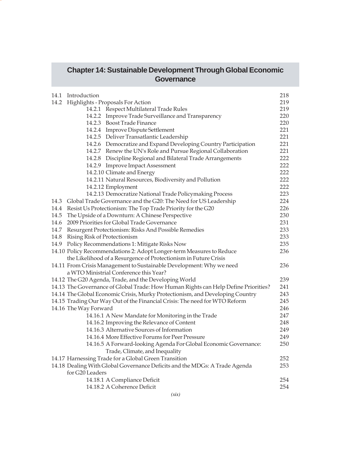#### **Chapter 14: Sustainable Development Through Global Economic Governance**

| 14.1 | Introduction                                                                       | 218 |
|------|------------------------------------------------------------------------------------|-----|
| 14.2 | Highlights - Proposals For Action                                                  | 219 |
|      | 14.2.1 Respect Multilateral Trade Rules                                            | 219 |
|      | 14.2.2 Improve Trade Surveillance and Transparency                                 | 220 |
|      | 14.2.3 Boost Trade Finance                                                         | 220 |
|      | 14.2.4 Improve Dispute Settlement                                                  | 221 |
|      | 14.2.5 Deliver Transatlantic Leadership                                            | 221 |
|      | 14.2.6 Democratize and Expand Developing Country Participation                     | 221 |
|      | 14.2.7 Renew the UN's Role and Pursue Regional Collaboration                       | 221 |
|      | 14.2.8 Discipline Regional and Bilateral Trade Arrangements                        | 222 |
|      | 14.2.9 Improve Impact Assessment                                                   | 222 |
|      | 14.2.10 Climate and Energy                                                         | 222 |
|      | 14.2.11 Natural Resources, Biodiversity and Pollution                              | 222 |
|      | 14.2.12 Employment                                                                 | 222 |
|      | 14.2.13 Democratize National Trade Policymaking Process                            | 223 |
|      | 14.3 Global Trade Governance and the G20: The Need for US Leadership               | 224 |
|      | 14.4 Resist Us Protectionism: The Top Trade Priority for the G20                   | 226 |
| 14.5 | The Upside of a Downturn: A Chinese Perspective                                    | 230 |
| 14.6 | 2009 Priorities for Global Trade Governance                                        | 231 |
|      | 14.7 Resurgent Protectionism: Risks And Possible Remedies                          | 233 |
| 14.8 | Rising Risk of Protectionism                                                       | 233 |
|      | 14.9 Policy Recommendations 1: Mitigate Risks Now                                  | 235 |
|      | 14.10 Policy Recommendations 2: Adopt Longer-term Measures to Reduce               | 236 |
|      | the Likelihood of a Resurgence of Protectionism in Future Crisis                   |     |
|      | 14.11 From Crisis Management to Sustainable Development: Why we need               | 236 |
|      | a WTO Ministrial Conference this Year?                                             |     |
|      | 14.12 The G20 Agenda, Trade, and the Developing World                              | 239 |
|      | 14.13 The Governance of Global Trade: How Human Rights can Help Define Priorities? | 241 |
|      | 14.14 The Global Economic Crisis, Murky Protectionism, and Developing Country      | 243 |
|      | 14.15 Trading Our Way Out of the Financial Crisis: The need for WTO Reform         | 245 |
|      | 14.16 The Way Forward                                                              | 246 |
|      | 14.16.1 A New Mandate for Monitoring in the Trade                                  | 247 |
|      | 14.16.2 Improving the Relevance of Content                                         | 248 |
|      | 14.16.3 Alternative Sources of Information                                         | 249 |
|      | 14.16.4 More Effective Forums for Peer Pressure                                    | 249 |
|      | 14.16.5 A Forward-looking Agenda For Global Economic Governance:                   | 250 |
|      | Trade, Climate, and Inequality                                                     |     |
|      | 14.17 Harnessing Trade for a Global Green Transition                               | 252 |
|      | 14.18 Dealing With Global Governance Deficits and the MDGs: A Trade Agenda         | 253 |
|      | for G20 Leaders                                                                    |     |
|      | 14.18.1 A Compliance Deficit                                                       | 254 |
|      | 14.18.2 A Coherence Deficit                                                        | 254 |